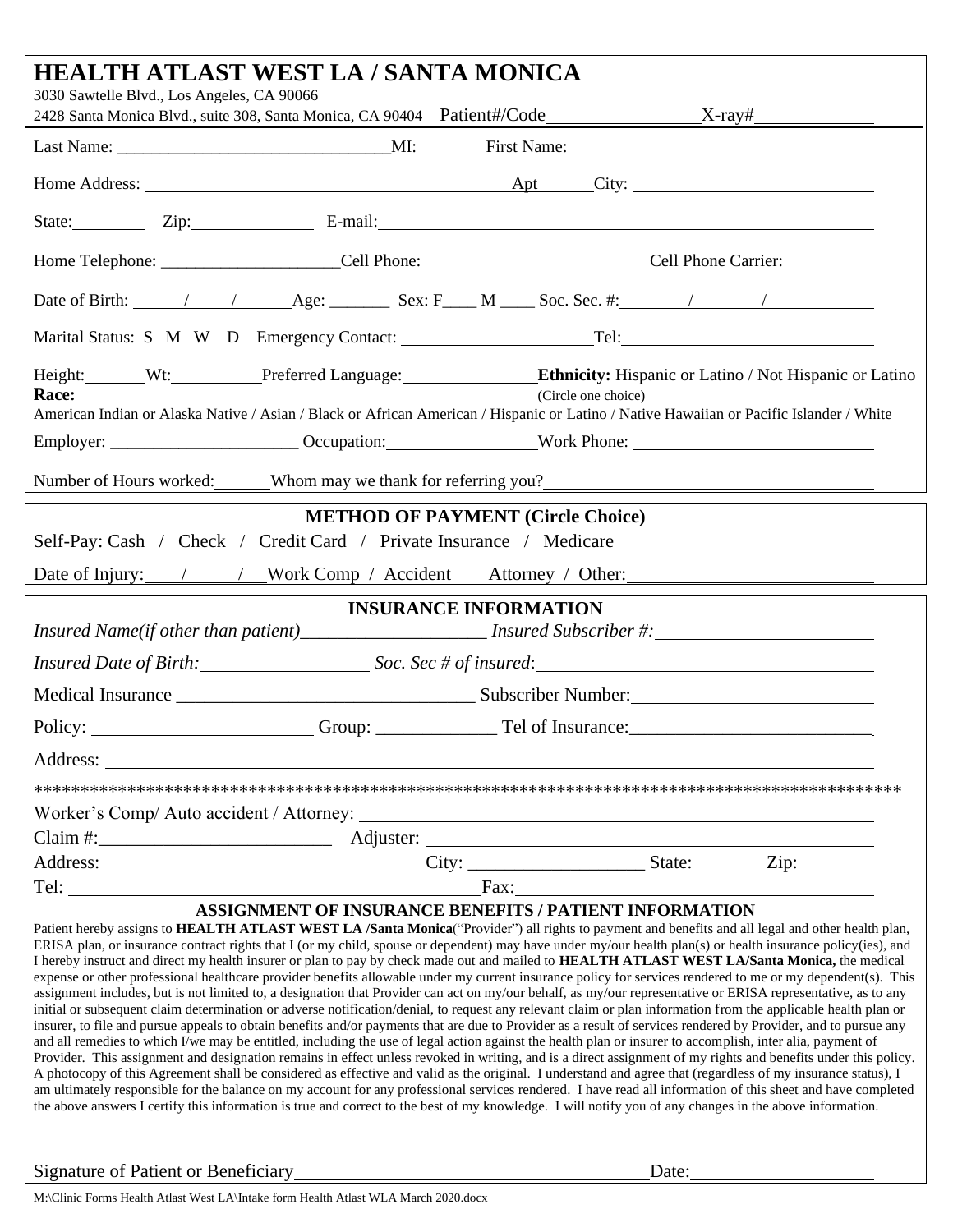| HEALTH ATLAST WEST LA / SANTA MONICA                                                                                                                                                                                                                                                                                                                                                                                                                                                                                                                                                                                                                                                                                                                                                                                                                                                                                                                                                                                                                                                                                                                                                                                                                                                                                                                                                                                                                                                                                                                                                                                                    |                                                                                                                                                                                                                                                                                                                          |                                          |  |  |
|-----------------------------------------------------------------------------------------------------------------------------------------------------------------------------------------------------------------------------------------------------------------------------------------------------------------------------------------------------------------------------------------------------------------------------------------------------------------------------------------------------------------------------------------------------------------------------------------------------------------------------------------------------------------------------------------------------------------------------------------------------------------------------------------------------------------------------------------------------------------------------------------------------------------------------------------------------------------------------------------------------------------------------------------------------------------------------------------------------------------------------------------------------------------------------------------------------------------------------------------------------------------------------------------------------------------------------------------------------------------------------------------------------------------------------------------------------------------------------------------------------------------------------------------------------------------------------------------------------------------------------------------|--------------------------------------------------------------------------------------------------------------------------------------------------------------------------------------------------------------------------------------------------------------------------------------------------------------------------|------------------------------------------|--|--|
| 3030 Sawtelle Blvd., Los Angeles, CA 90066                                                                                                                                                                                                                                                                                                                                                                                                                                                                                                                                                                                                                                                                                                                                                                                                                                                                                                                                                                                                                                                                                                                                                                                                                                                                                                                                                                                                                                                                                                                                                                                              |                                                                                                                                                                                                                                                                                                                          |                                          |  |  |
|                                                                                                                                                                                                                                                                                                                                                                                                                                                                                                                                                                                                                                                                                                                                                                                                                                                                                                                                                                                                                                                                                                                                                                                                                                                                                                                                                                                                                                                                                                                                                                                                                                         |                                                                                                                                                                                                                                                                                                                          |                                          |  |  |
|                                                                                                                                                                                                                                                                                                                                                                                                                                                                                                                                                                                                                                                                                                                                                                                                                                                                                                                                                                                                                                                                                                                                                                                                                                                                                                                                                                                                                                                                                                                                                                                                                                         |                                                                                                                                                                                                                                                                                                                          |                                          |  |  |
|                                                                                                                                                                                                                                                                                                                                                                                                                                                                                                                                                                                                                                                                                                                                                                                                                                                                                                                                                                                                                                                                                                                                                                                                                                                                                                                                                                                                                                                                                                                                                                                                                                         | State: Zip: Zip: E-mail: E-mail:                                                                                                                                                                                                                                                                                         |                                          |  |  |
| Home Telephone: __________________________Cell Phone: __________________________Cell Phone Carrier: ________________                                                                                                                                                                                                                                                                                                                                                                                                                                                                                                                                                                                                                                                                                                                                                                                                                                                                                                                                                                                                                                                                                                                                                                                                                                                                                                                                                                                                                                                                                                                    |                                                                                                                                                                                                                                                                                                                          |                                          |  |  |
|                                                                                                                                                                                                                                                                                                                                                                                                                                                                                                                                                                                                                                                                                                                                                                                                                                                                                                                                                                                                                                                                                                                                                                                                                                                                                                                                                                                                                                                                                                                                                                                                                                         |                                                                                                                                                                                                                                                                                                                          |                                          |  |  |
|                                                                                                                                                                                                                                                                                                                                                                                                                                                                                                                                                                                                                                                                                                                                                                                                                                                                                                                                                                                                                                                                                                                                                                                                                                                                                                                                                                                                                                                                                                                                                                                                                                         |                                                                                                                                                                                                                                                                                                                          |                                          |  |  |
| Race:                                                                                                                                                                                                                                                                                                                                                                                                                                                                                                                                                                                                                                                                                                                                                                                                                                                                                                                                                                                                                                                                                                                                                                                                                                                                                                                                                                                                                                                                                                                                                                                                                                   | Height: Wt: Preferred Language: Ethnicity: Hispanic or Latino / Not Hispanic or Latino<br>(Circle one choice)<br>American Indian or Alaska Native / Asian / Black or African American / Hispanic or Latino / Native Hawaiian or Pacific Islander / White                                                                 |                                          |  |  |
| Employer: ___________________________Occupation: ____________________Work Phone: _____________________________                                                                                                                                                                                                                                                                                                                                                                                                                                                                                                                                                                                                                                                                                                                                                                                                                                                                                                                                                                                                                                                                                                                                                                                                                                                                                                                                                                                                                                                                                                                          |                                                                                                                                                                                                                                                                                                                          |                                          |  |  |
| Number of Hours worked: Whom may we thank for referring you?                                                                                                                                                                                                                                                                                                                                                                                                                                                                                                                                                                                                                                                                                                                                                                                                                                                                                                                                                                                                                                                                                                                                                                                                                                                                                                                                                                                                                                                                                                                                                                            |                                                                                                                                                                                                                                                                                                                          |                                          |  |  |
| Self-Pay: Cash / Check / Credit Card / Private Insurance / Medicare                                                                                                                                                                                                                                                                                                                                                                                                                                                                                                                                                                                                                                                                                                                                                                                                                                                                                                                                                                                                                                                                                                                                                                                                                                                                                                                                                                                                                                                                                                                                                                     |                                                                                                                                                                                                                                                                                                                          | <b>METHOD OF PAYMENT (Circle Choice)</b> |  |  |
| Date of Injury: / / Work Comp / Accident Attorney / Other:                                                                                                                                                                                                                                                                                                                                                                                                                                                                                                                                                                                                                                                                                                                                                                                                                                                                                                                                                                                                                                                                                                                                                                                                                                                                                                                                                                                                                                                                                                                                                                              |                                                                                                                                                                                                                                                                                                                          |                                          |  |  |
| Insured Name(if other than patient)_______________________ Insured Subscriber #:____________________                                                                                                                                                                                                                                                                                                                                                                                                                                                                                                                                                                                                                                                                                                                                                                                                                                                                                                                                                                                                                                                                                                                                                                                                                                                                                                                                                                                                                                                                                                                                    | <b>INSURANCE INFORMATION</b>                                                                                                                                                                                                                                                                                             |                                          |  |  |
| Insured Date of Birth: Soc. Sec # of insured: Soc. Sec # of insured:                                                                                                                                                                                                                                                                                                                                                                                                                                                                                                                                                                                                                                                                                                                                                                                                                                                                                                                                                                                                                                                                                                                                                                                                                                                                                                                                                                                                                                                                                                                                                                    |                                                                                                                                                                                                                                                                                                                          |                                          |  |  |
|                                                                                                                                                                                                                                                                                                                                                                                                                                                                                                                                                                                                                                                                                                                                                                                                                                                                                                                                                                                                                                                                                                                                                                                                                                                                                                                                                                                                                                                                                                                                                                                                                                         |                                                                                                                                                                                                                                                                                                                          |                                          |  |  |
| Policy: <u>Croup: Group:</u> Croup: Tel of Insurance: Communication of the United States of Tel of Insurance:                                                                                                                                                                                                                                                                                                                                                                                                                                                                                                                                                                                                                                                                                                                                                                                                                                                                                                                                                                                                                                                                                                                                                                                                                                                                                                                                                                                                                                                                                                                           |                                                                                                                                                                                                                                                                                                                          |                                          |  |  |
| Address:                                                                                                                                                                                                                                                                                                                                                                                                                                                                                                                                                                                                                                                                                                                                                                                                                                                                                                                                                                                                                                                                                                                                                                                                                                                                                                                                                                                                                                                                                                                                                                                                                                |                                                                                                                                                                                                                                                                                                                          |                                          |  |  |
|                                                                                                                                                                                                                                                                                                                                                                                                                                                                                                                                                                                                                                                                                                                                                                                                                                                                                                                                                                                                                                                                                                                                                                                                                                                                                                                                                                                                                                                                                                                                                                                                                                         |                                                                                                                                                                                                                                                                                                                          |                                          |  |  |
|                                                                                                                                                                                                                                                                                                                                                                                                                                                                                                                                                                                                                                                                                                                                                                                                                                                                                                                                                                                                                                                                                                                                                                                                                                                                                                                                                                                                                                                                                                                                                                                                                                         |                                                                                                                                                                                                                                                                                                                          |                                          |  |  |
|                                                                                                                                                                                                                                                                                                                                                                                                                                                                                                                                                                                                                                                                                                                                                                                                                                                                                                                                                                                                                                                                                                                                                                                                                                                                                                                                                                                                                                                                                                                                                                                                                                         |                                                                                                                                                                                                                                                                                                                          |                                          |  |  |
|                                                                                                                                                                                                                                                                                                                                                                                                                                                                                                                                                                                                                                                                                                                                                                                                                                                                                                                                                                                                                                                                                                                                                                                                                                                                                                                                                                                                                                                                                                                                                                                                                                         |                                                                                                                                                                                                                                                                                                                          |                                          |  |  |
| <b>ASSIGNMENT OF INSURANCE BENEFITS / PATIENT INFORMATION</b>                                                                                                                                                                                                                                                                                                                                                                                                                                                                                                                                                                                                                                                                                                                                                                                                                                                                                                                                                                                                                                                                                                                                                                                                                                                                                                                                                                                                                                                                                                                                                                           |                                                                                                                                                                                                                                                                                                                          |                                          |  |  |
| Patient hereby assigns to HEALTH ATLAST WEST LA /Santa Monica("Provider") all rights to payment and benefits and all legal and other health plan,<br>ERISA plan, or insurance contract rights that I (or my child, spouse or dependent) may have under my/our health plan(s) or health insurance policy(ies), and<br>I hereby instruct and direct my health insurer or plan to pay by check made out and mailed to HEALTH ATLAST WEST LA/Santa Monica, the medical<br>expense or other professional healthcare provider benefits allowable under my current insurance policy for services rendered to me or my dependent(s). This<br>assignment includes, but is not limited to, a designation that Provider can act on my/our behalf, as my/our representative or ERISA representative, as to any<br>initial or subsequent claim determination or adverse notification/denial, to request any relevant claim or plan information from the applicable health plan or<br>insurer, to file and pursue appeals to obtain benefits and/or payments that are due to Provider as a result of services rendered by Provider, and to pursue any<br>and all remedies to which I/we may be entitled, including the use of legal action against the health plan or insurer to accomplish, inter alia, payment of<br>Provider. This assignment and designation remains in effect unless revoked in writing, and is a direct assignment of my rights and benefits under this policy.<br>am ultimately responsible for the balance on my account for any professional services rendered. I have read all information of this sheet and have completed | A photocopy of this Agreement shall be considered as effective and valid as the original. I understand and agree that (regardless of my insurance status), I<br>the above answers I certify this information is true and correct to the best of my knowledge. I will notify you of any changes in the above information. |                                          |  |  |

Signature of Patient or Beneficiary Date: Date: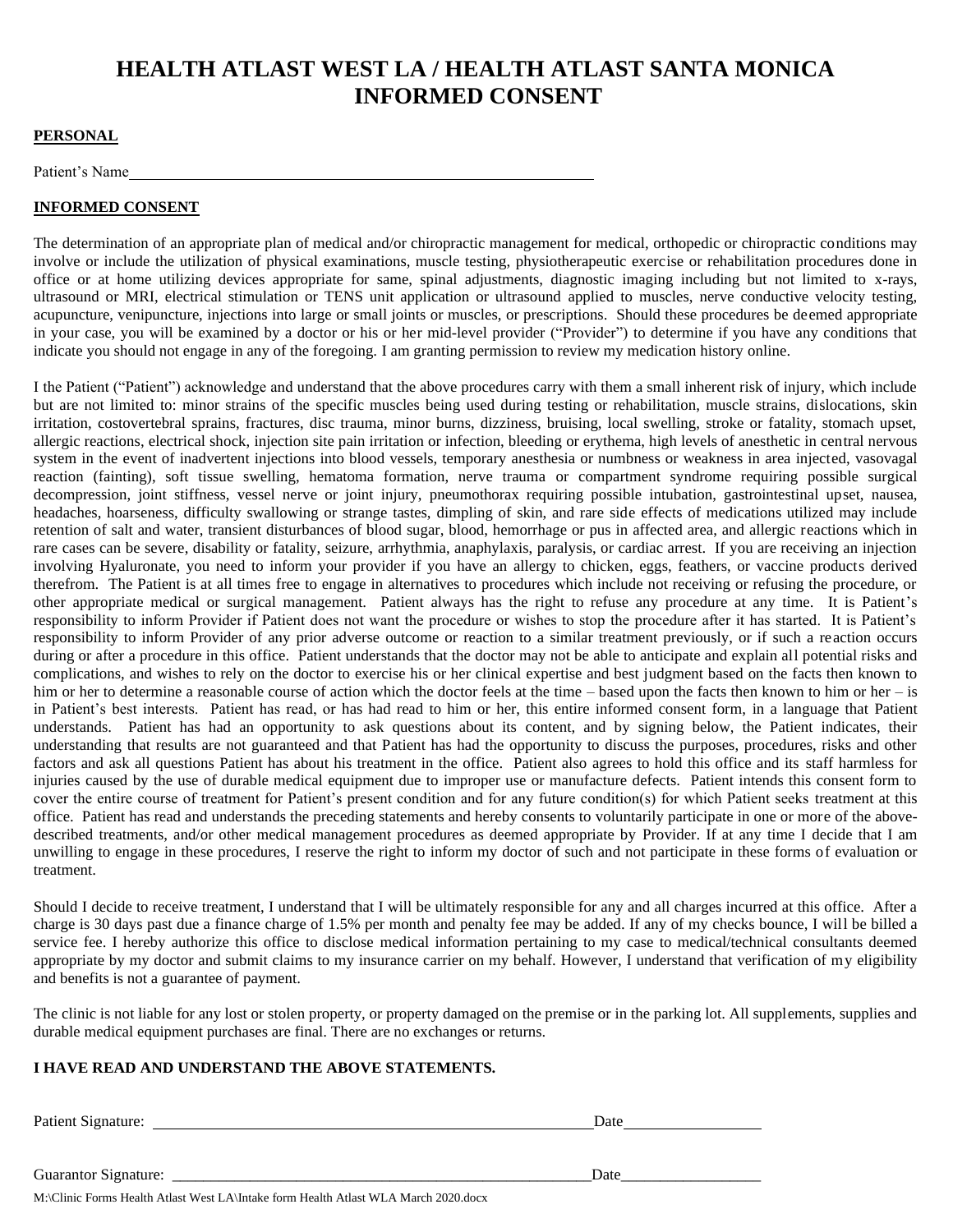# **HEALTH ATLAST WEST LA / HEALTH ATLAST SANTA MONICA INFORMED CONSENT**

#### **PERSONAL**

Patient's Name

#### **INFORMED CONSENT**

The determination of an appropriate plan of medical and/or chiropractic management for medical, orthopedic or chiropractic conditions may involve or include the utilization of physical examinations, muscle testing, physiotherapeutic exercise or rehabilitation procedures done in office or at home utilizing devices appropriate for same, spinal adjustments, diagnostic imaging including but not limited to x-rays, ultrasound or MRI, electrical stimulation or TENS unit application or ultrasound applied to muscles, nerve conductive velocity testing, acupuncture, venipuncture, injections into large or small joints or muscles, or prescriptions. Should these procedures be deemed appropriate in your case, you will be examined by a doctor or his or her mid-level provider ("Provider") to determine if you have any conditions that indicate you should not engage in any of the foregoing. I am granting permission to review my medication history online.

I the Patient ("Patient") acknowledge and understand that the above procedures carry with them a small inherent risk of injury, which include but are not limited to: minor strains of the specific muscles being used during testing or rehabilitation, muscle strains, dislocations, skin irritation, costovertebral sprains, fractures, disc trauma, minor burns, dizziness, bruising, local swelling, stroke or fatality, stomach upset, allergic reactions, electrical shock, injection site pain irritation or infection, bleeding or erythema, high levels of anesthetic in central nervous system in the event of inadvertent injections into blood vessels, temporary anesthesia or numbness or weakness in area injected, vasovagal reaction (fainting), soft tissue swelling, hematoma formation, nerve trauma or compartment syndrome requiring possible surgical decompression, joint stiffness, vessel nerve or joint injury, pneumothorax requiring possible intubation, gastrointestinal upset, nausea, headaches, hoarseness, difficulty swallowing or strange tastes, dimpling of skin, and rare side effects of medications utilized may include retention of salt and water, transient disturbances of blood sugar, blood, hemorrhage or pus in affected area, and allergic reactions which in rare cases can be severe, disability or fatality, seizure, arrhythmia, anaphylaxis, paralysis, or cardiac arrest. If you are receiving an injection involving Hyaluronate, you need to inform your provider if you have an allergy to chicken, eggs, feathers, or vaccine products derived therefrom. The Patient is at all times free to engage in alternatives to procedures which include not receiving or refusing the procedure, or other appropriate medical or surgical management. Patient always has the right to refuse any procedure at any time. It is Patient's responsibility to inform Provider if Patient does not want the procedure or wishes to stop the procedure after it has started. It is Patient's responsibility to inform Provider of any prior adverse outcome or reaction to a similar treatment previously, or if such a reaction occurs during or after a procedure in this office. Patient understands that the doctor may not be able to anticipate and explain all potential risks and complications, and wishes to rely on the doctor to exercise his or her clinical expertise and best judgment based on the facts then known to him or her to determine a reasonable course of action which the doctor feels at the time – based upon the facts then known to him or her – is in Patient's best interests. Patient has read, or has had read to him or her, this entire informed consent form, in a language that Patient understands. Patient has had an opportunity to ask questions about its content, and by signing below, the Patient indicates, their understanding that results are not guaranteed and that Patient has had the opportunity to discuss the purposes, procedures, risks and other factors and ask all questions Patient has about his treatment in the office. Patient also agrees to hold this office and its staff harmless for injuries caused by the use of durable medical equipment due to improper use or manufacture defects. Patient intends this consent form to cover the entire course of treatment for Patient's present condition and for any future condition(s) for which Patient seeks treatment at this office. Patient has read and understands the preceding statements and hereby consents to voluntarily participate in one or more of the abovedescribed treatments, and/or other medical management procedures as deemed appropriate by Provider. If at any time I decide that I am unwilling to engage in these procedures, I reserve the right to inform my doctor of such and not participate in these forms of evaluation or treatment.

Should I decide to receive treatment, I understand that I will be ultimately responsible for any and all charges incurred at this office. After a charge is 30 days past due a finance charge of 1.5% per month and penalty fee may be added. If any of my checks bounce, I will be billed a service fee. I hereby authorize this office to disclose medical information pertaining to my case to medical/technical consultants deemed appropriate by my doctor and submit claims to my insurance carrier on my behalf. However, I understand that verification of my eligibility and benefits is not a guarantee of payment.

The clinic is not liable for any lost or stolen property, or property damaged on the premise or in the parking lot. All supplements, supplies and durable medical equipment purchases are final. There are no exchanges or returns.

#### **I HAVE READ AND UNDERSTAND THE ABOVE STATEMENTS.**

| Patient Signature:                                                                  | Date |
|-------------------------------------------------------------------------------------|------|
| Guarantor Signature:                                                                | Date |
| M:\Clinic Forms Health Atlast West LA\Intake form Health Atlast WLA March 2020.docx |      |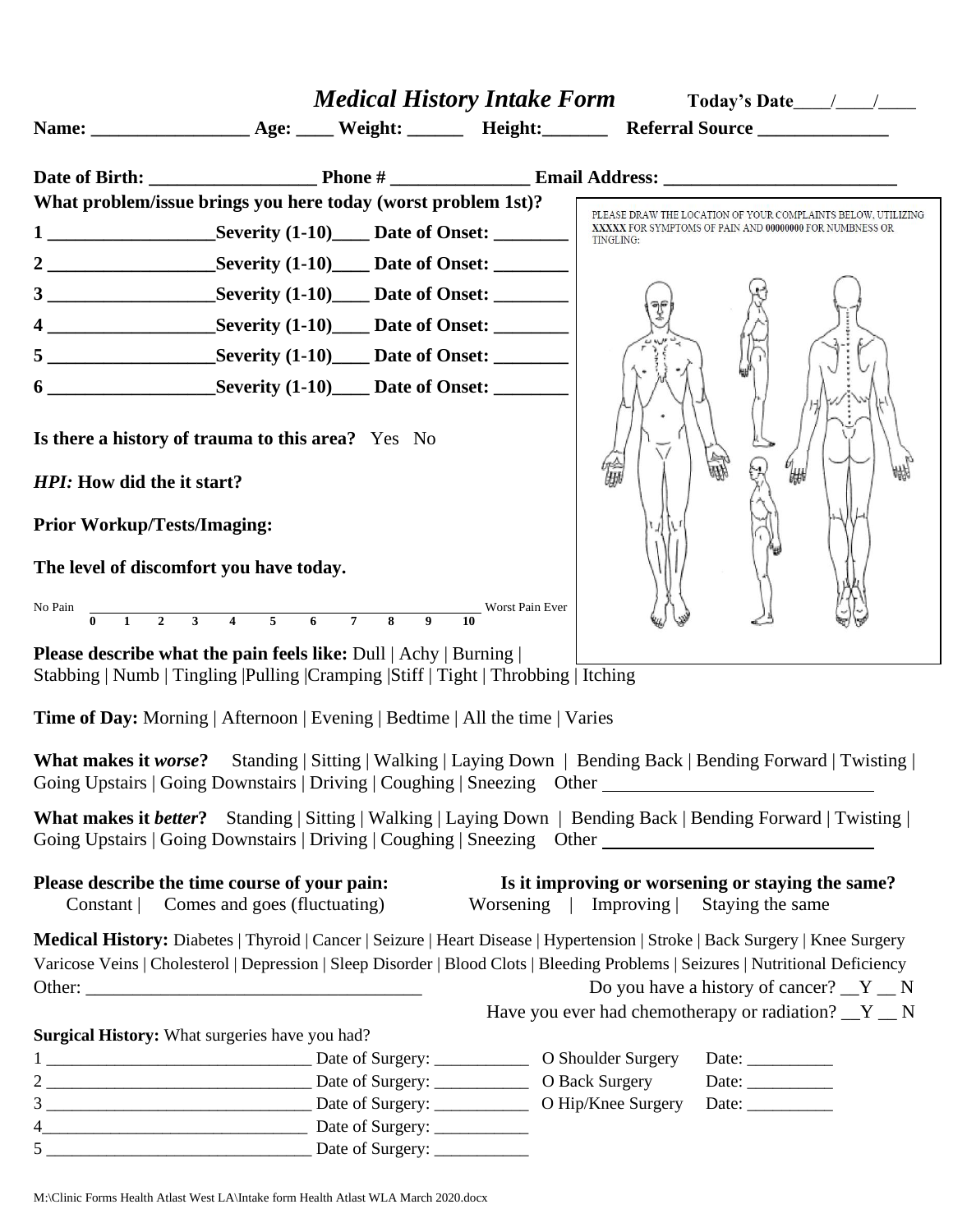|                                                    | What problem/issue brings you here today (worst problem 1st)?                                                                                                                                                                                                                                               |                       | PLEASE DRAW THE LOCATION OF YOUR COMPLAINTS BELOW, UTILIZING          |
|----------------------------------------------------|-------------------------------------------------------------------------------------------------------------------------------------------------------------------------------------------------------------------------------------------------------------------------------------------------------------|-----------------------|-----------------------------------------------------------------------|
|                                                    |                                                                                                                                                                                                                                                                                                             | TINGLING:             | XXXXX FOR SYMPTOMS OF PAIN AND 00000000 FOR NUMBNESS OR               |
|                                                    |                                                                                                                                                                                                                                                                                                             |                       |                                                                       |
|                                                    | 3 ________________________Severity (1-10)_______ Date of Onset: ________________                                                                                                                                                                                                                            |                       |                                                                       |
|                                                    |                                                                                                                                                                                                                                                                                                             |                       |                                                                       |
|                                                    |                                                                                                                                                                                                                                                                                                             |                       |                                                                       |
|                                                    | 6 _______________________Severity (1-10)______ Date of Onset: __________________                                                                                                                                                                                                                            |                       |                                                                       |
| HPI: How did the it start?                         | Is there a history of trauma to this area? Yes No                                                                                                                                                                                                                                                           | 倫脚                    | ₩₩                                                                    |
| <b>Prior Workup/Tests/Imaging:</b>                 |                                                                                                                                                                                                                                                                                                             |                       |                                                                       |
| The level of discomfort you have today.<br>No Pain | $\frac{1}{0}$ 1 2 3 4 5 6 7 8 9 10<br>Worst Pain Ever                                                                                                                                                                                                                                                       |                       |                                                                       |
|                                                    | <b>Please describe what the pain feels like:</b> Dull   Achy   Burning  <br>Stabbing   Numb   Tingling   Pulling   Cramping   Stiff   Tight   Throbbing   Itching                                                                                                                                           |                       |                                                                       |
|                                                    | Time of Day: Morning   Afternoon   Evening   Bedtime   All the time   Varies<br><b>What makes it worse?</b> Standing   Sitting   Walking   Laying Down   Bending Back   Bending Forward   Twisting  <br>Going Upstairs   Going Downstairs   Driving   Coughing   Sneezing Other ___________________________ |                       |                                                                       |
|                                                    | <b>What makes it better?</b> Standing   Sitting   Walking   Laying Down   Bending Back   Bending Forward   Twisting  <br>Going Upstairs   Going Downstairs   Driving   Coughing   Sneezing Other ___________________________                                                                                |                       |                                                                       |
| Please describe the time course of your pain:      | Constant   Comes and goes (fluctuating)                                                                                                                                                                                                                                                                     | Worsening   Improving | Is it improving or worsening or staying the same?<br>Staying the same |
|                                                    | Medical History: Diabetes   Thyroid   Cancer   Seizure   Heart Disease   Hypertension   Stroke   Back Surgery   Knee Surgery<br>Varicose Veins   Cholesterol   Depression   Sleep Disorder   Blood Clots   Bleeding Problems   Seizures   Nutritional Deficiency                                            |                       | Do you have a history of cancer? $Y'$ N                               |
| Surgical History: What surgeries have you had?     |                                                                                                                                                                                                                                                                                                             |                       | Have you ever had chemotherapy or radiation? $Y_N$                    |
|                                                    |                                                                                                                                                                                                                                                                                                             |                       | Date: $\_\_$                                                          |
|                                                    |                                                                                                                                                                                                                                                                                                             |                       | Date: $\_\_$                                                          |
|                                                    |                                                                                                                                                                                                                                                                                                             |                       | Date: $\_\_$                                                          |
|                                                    |                                                                                                                                                                                                                                                                                                             |                       |                                                                       |
|                                                    |                                                                                                                                                                                                                                                                                                             |                       |                                                                       |

M:\Clinic Forms Health Atlast West LA\Intake form Health Atlast WLA March 2020.docx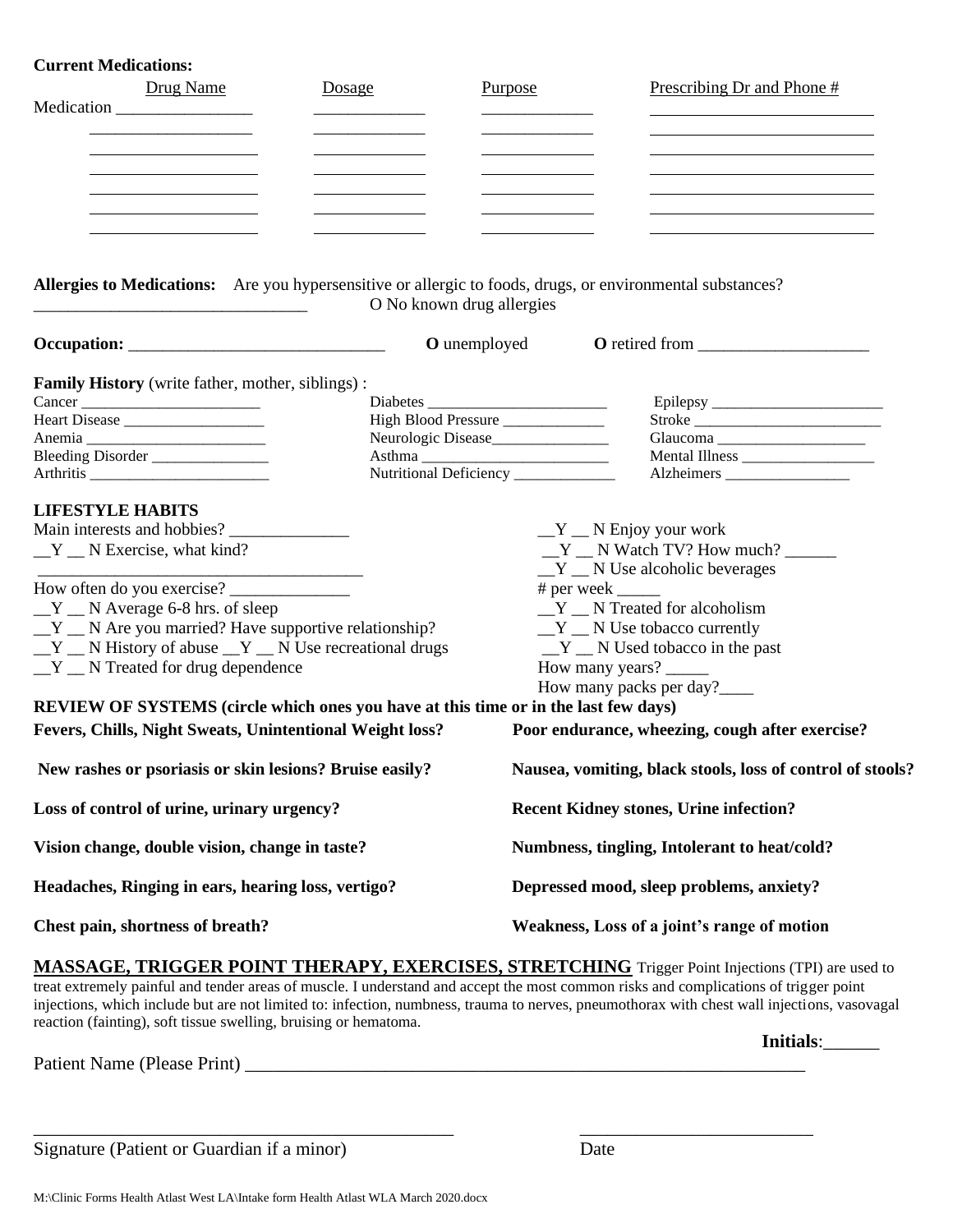### **Current Medications:**

| Drug Name<br>Medication                                                                                                                                                                                                                                                                                                                                                                        | Dosage                                                                                        | Purpose | Prescribing Dr and Phone #                                                                                                                                                                                                                                                                              |  |
|------------------------------------------------------------------------------------------------------------------------------------------------------------------------------------------------------------------------------------------------------------------------------------------------------------------------------------------------------------------------------------------------|-----------------------------------------------------------------------------------------------|---------|---------------------------------------------------------------------------------------------------------------------------------------------------------------------------------------------------------------------------------------------------------------------------------------------------------|--|
| Allergies to Medications: Are you hypersensitive or allergic to foods, drugs, or environmental substances?                                                                                                                                                                                                                                                                                     | O No known drug allergies                                                                     |         |                                                                                                                                                                                                                                                                                                         |  |
|                                                                                                                                                                                                                                                                                                                                                                                                | <b>O</b> unemployed                                                                           |         |                                                                                                                                                                                                                                                                                                         |  |
| <b>Family History</b> (write father, mother, siblings):<br>Bleeding Disorder                                                                                                                                                                                                                                                                                                                   | High Blood Pressure<br>Neurologic Disease______________<br>Nutritional Deficiency ___________ |         | Stroke<br>Mental Illness ___________________                                                                                                                                                                                                                                                            |  |
| <b>LIFESTYLE HABITS</b><br>Main interests and hobbies?<br>$Y$ N Exercise, what kind?<br>$Y$ N Average 6-8 hrs. of sleep<br>$Y$ $\_\ N$ Are you married? Have supportive relationship?<br>$Y$ $\_\ N$ History of abuse $\_\ Y$ $\_\ N$ Use recreational drugs<br>$Y$ $\_\ N$ Treated for drug dependence<br>REVIEW OF SYSTEMS (circle which ones you have at this time or in the last few days) |                                                                                               |         | $Y$ $\_\ N$ Enjoy your work<br>$Y$ N Watch TV? How much?<br>$Y$ $\_\ N$ Use alcoholic beverages<br>$# per week$ <sub>______</sub><br>Y _ N Treated for alcoholism<br>$Y$ $\_\ N$ Use tobacco currently<br>$Y$ $\_\ N$ Used tobacco in the past<br>How many years? ______<br>How many packs per day?____ |  |
| Fevers, Chills, Night Sweats, Unintentional Weight loss?                                                                                                                                                                                                                                                                                                                                       |                                                                                               |         | Poor endurance, wheezing, cough after exercise?                                                                                                                                                                                                                                                         |  |
| New rashes or psoriasis or skin lesions? Bruise easily?                                                                                                                                                                                                                                                                                                                                        |                                                                                               |         | Nausea, vomiting, black stools, loss of control of stools?                                                                                                                                                                                                                                              |  |
| Loss of control of urine, urinary urgency?                                                                                                                                                                                                                                                                                                                                                     |                                                                                               |         | <b>Recent Kidney stones, Urine infection?</b>                                                                                                                                                                                                                                                           |  |
| Vision change, double vision, change in taste?                                                                                                                                                                                                                                                                                                                                                 |                                                                                               |         | Numbness, tingling, Intolerant to heat/cold?                                                                                                                                                                                                                                                            |  |
| Headaches, Ringing in ears, hearing loss, vertigo?                                                                                                                                                                                                                                                                                                                                             |                                                                                               |         | Depressed mood, sleep problems, anxiety?                                                                                                                                                                                                                                                                |  |
| Chest pain, shortness of breath?                                                                                                                                                                                                                                                                                                                                                               |                                                                                               |         | Weakness, Loss of a joint's range of motion                                                                                                                                                                                                                                                             |  |

**MASSAGE, TRIGGER POINT THERAPY, EXERCISES, STRETCHING** Trigger Point Injections (TPI) are used to treat extremely painful and tender areas of muscle. I understand and accept the most common risks and complications of trigger point injections, which include but are not limited to: infection, numbness, trauma to nerves, pneumothorax with chest wall injections, vasovagal reaction (fainting), soft tissue swelling, bruising or hematoma.

\_\_\_\_\_\_\_\_\_\_\_\_\_\_\_\_\_\_\_\_\_\_\_\_\_\_\_\_\_\_\_\_\_\_\_\_\_\_\_\_\_\_\_\_\_ \_\_\_\_\_\_\_\_\_\_\_\_\_\_\_\_\_\_\_\_\_\_\_\_\_

Patient Name (Please Print) \_\_\_\_\_\_\_\_\_\_\_\_\_\_\_\_\_\_\_\_\_\_\_\_\_\_\_\_\_\_\_\_\_\_\_\_\_\_\_\_\_\_\_\_\_\_\_\_\_\_\_\_\_\_\_\_\_\_\_\_

Signature (Patient or Guardian if a minor) Date

**Initials**:\_\_\_\_\_\_

M:\Clinic Forms Health Atlast West LA\Intake form Health Atlast WLA March 2020.docx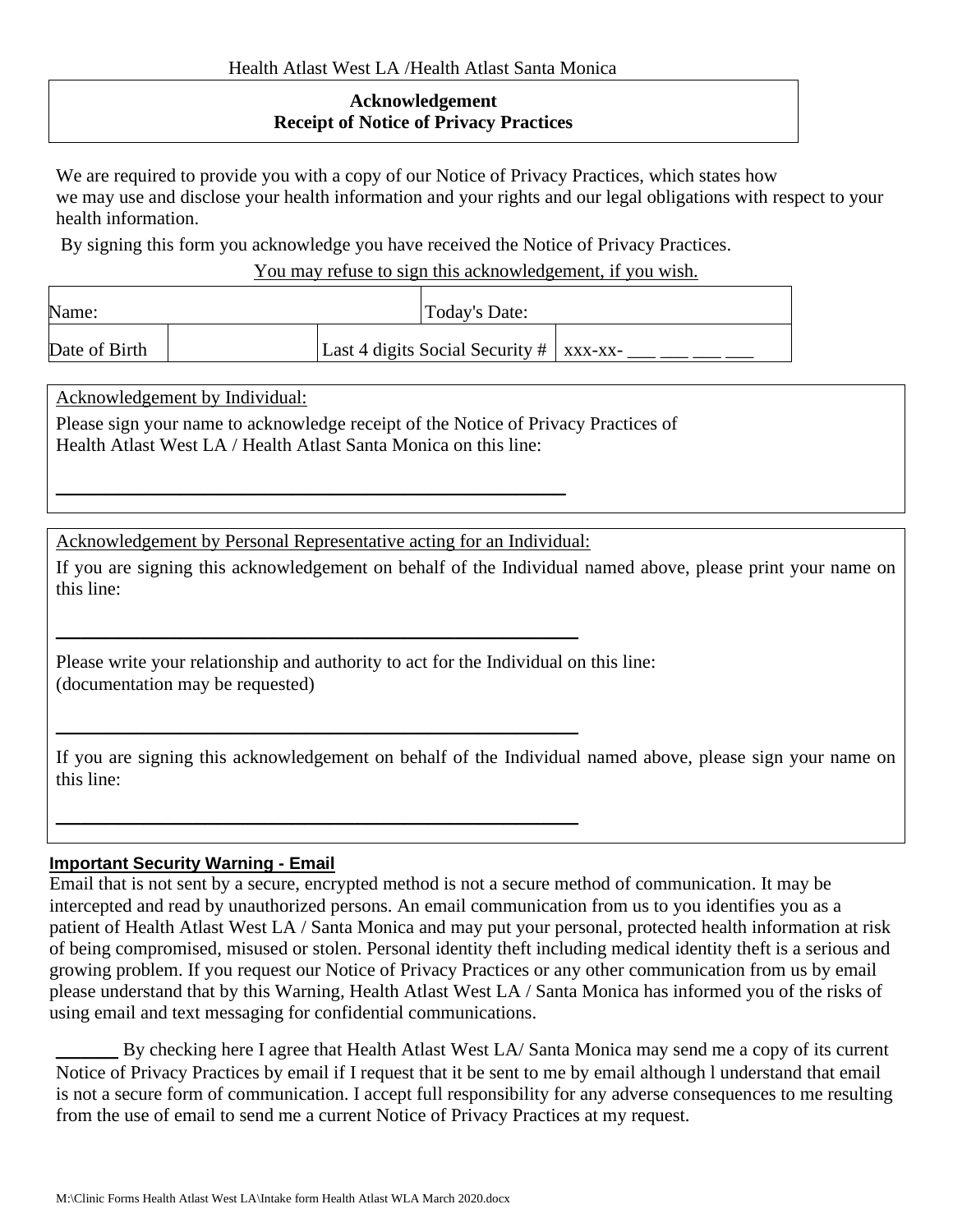## **Acknowledgement Receipt of Notice of Privacy Practices**

We are required to provide you with a copy of our Notice of Privacy Practices, which states how we may use and disclose your health information and your rights and our legal obligations with respect to your health information.

By signing this form you acknowledge you have received the Notice of Privacy Practices.

You may refuse to sign this acknowledgement, if you wish.

| Name:         |  | Today's Date: |                                              |  |
|---------------|--|---------------|----------------------------------------------|--|
| Date of Birth |  |               | Last 4 digits Social Security $\#$   xxx-xx- |  |

Acknowledgement by Individual:

Please sign your name to acknowledge receipt of the Notice of Privacy Practices of Health Atlast West LA / Health Atlast Santa Monica on this line:

Acknowledgement by Personal Representative acting for an Individual:

**\_\_\_\_\_\_\_\_\_\_\_\_\_\_\_\_\_\_\_\_\_\_\_\_\_\_\_\_\_\_\_\_\_\_\_\_\_\_\_\_\_\_**

**\_\_\_\_\_\_\_\_\_\_\_\_\_\_\_\_\_\_\_\_\_\_\_\_\_\_\_\_\_\_\_\_\_\_\_\_\_\_\_\_\_\_**

**\_\_\_\_\_\_\_\_\_\_\_\_\_\_\_\_\_\_\_\_\_\_\_\_\_\_\_\_\_\_\_\_\_\_\_\_\_\_\_\_\_\_**

**\_\_\_\_\_\_\_\_\_\_\_\_\_\_\_\_\_\_\_\_\_\_\_\_\_\_\_\_\_\_\_\_\_\_\_\_\_\_\_\_\_**

If you are signing this acknowledgement on behalf of the Individual named above, please print your name on this line:

Please write your relationship and authority to act for the Individual on this line: (documentation may be requested)

If you are signing this acknowledgement on behalf of the Individual named above, please sign your name on this line:

## **Important Security Warning - Email**

Email that is not sent by a secure, encrypted method is not a secure method of communication. It may be intercepted and read by unauthorized persons. An email communication from us to you identifies you as a patient of Health Atlast West LA / Santa Monica and may put your personal, protected health information at risk of being compromised, misused or stolen. Personal identity theft including medical identity theft is a serious and growing problem. If you request our Notice of Privacy Practices or any other communication from us by email please understand that by this Warning, Health Atlast West LA / Santa Monica has informed you of the risks of using email and text messaging for confidential communications.

By checking here I agree that Health Atlast West LA/ Santa Monica may send me a copy of its current Notice of Privacy Practices by email if I request that it be sent to me by email although l understand that email is not a secure form of communication. I accept full responsibility for any adverse consequences to me resulting from the use of email to send me a current Notice of Privacy Practices at my request.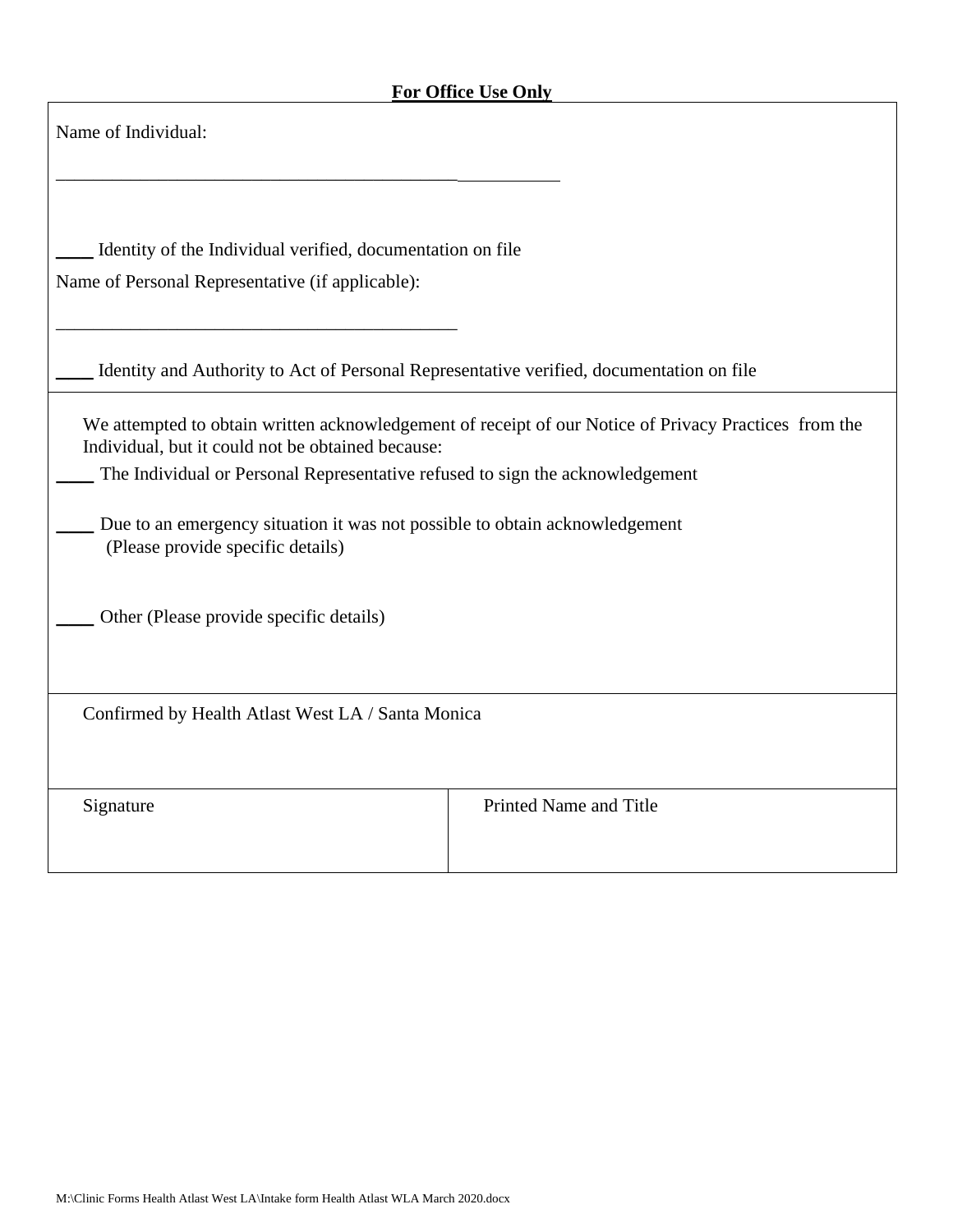$\mathsf{r}$ 

| Name of Individual:                                                                                                                                                                                                                                    |                                                                                                       |  |  |
|--------------------------------------------------------------------------------------------------------------------------------------------------------------------------------------------------------------------------------------------------------|-------------------------------------------------------------------------------------------------------|--|--|
| Identity of the Individual verified, documentation on file<br>Name of Personal Representative (if applicable):                                                                                                                                         |                                                                                                       |  |  |
| Identity and Authority to Act of Personal Representative verified, documentation on file                                                                                                                                                               |                                                                                                       |  |  |
| Individual, but it could not be obtained because:<br>The Individual or Personal Representative refused to sign the acknowledgement<br>Due to an emergency situation it was not possible to obtain acknowledgement<br>(Please provide specific details) | We attempted to obtain written acknowledgement of receipt of our Notice of Privacy Practices from the |  |  |
| Other (Please provide specific details)                                                                                                                                                                                                                |                                                                                                       |  |  |
| Confirmed by Health Atlast West LA / Santa Monica                                                                                                                                                                                                      |                                                                                                       |  |  |
| Signature                                                                                                                                                                                                                                              | Printed Name and Title                                                                                |  |  |